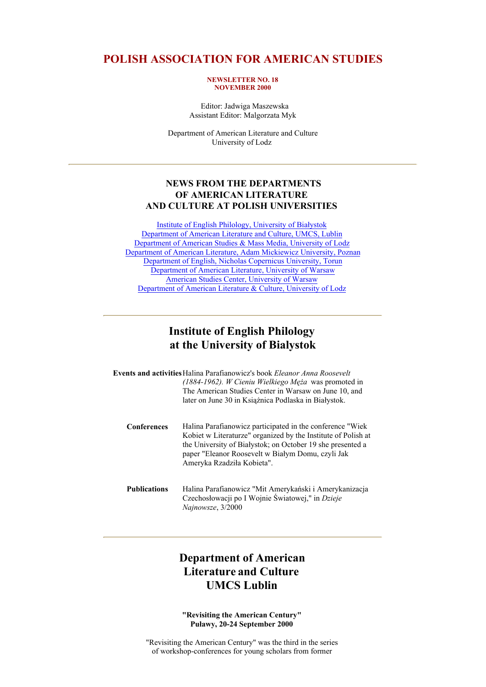### **POLISH ASSOCIATION FOR AMERICAN STUDIES**

#### **NEWSLETTER NO. 18 NOVEMBER 2000**

 Editor: Jadwiga Maszewska Assistant Editor: Malgorzata Myk

Department of American Literature and Culture University of Lodz

### **NEWS FROM THE DEPARTMENTS OF AMERICAN LITERATURE AND CULTURE AT POLISH UNIVERSITIES**

Institute of English Philology, University of Białystok Department of American Literature and Culture, UMCS, Lublin Department of American Studies & Mass Media, University of Lodz Department of American Literature, Adam Mickiewicz University, Poznan Department of English, Nicholas Copernicus University, Torun Department of American Literature, University of Warsaw American Studies Center, University of Warsaw Department of American Literature & Culture, University of Lodz

## **Institute of English Philology at the University of Bialystok**

|                     | <b>Events and activities Halina Parafianowicz's book Eleanor Anna Roosevelt</b><br>$(1884-1962)$ . <i>W Cieniu Wielkiego Męża</i> was promoted in<br>The American Studies Center in Warsaw on June 10, and<br>later on June 30 in Ksiażnica Podlaska in Białystok.           |
|---------------------|------------------------------------------------------------------------------------------------------------------------------------------------------------------------------------------------------------------------------------------------------------------------------|
| <b>Conferences</b>  | Halina Parafianowicz participated in the conference "Wiek"<br>Kobiet w Literaturze" organized by the Institute of Polish at<br>the University of Białystok; on October 19 she presented a<br>paper "Eleanor Roosevelt w Białym Domu, czyli Jak<br>Ameryka Rzadziła Kobieta". |
| <b>Publications</b> | Halina Parafianowicz "Mit Amerykański i Amerykanizacja<br>Czechosłowacji po I Wojnie Światowej," in Dzieje<br>Najnowsze, 3/2000                                                                                                                                              |

# **Department of American Literature and Culture UMCS Lublin**

**"Revisiting the American Century" Puławy, 20-24 September 2000**

"Revisiting the American Century" was the third in the series of workshop-conferences for young scholars from former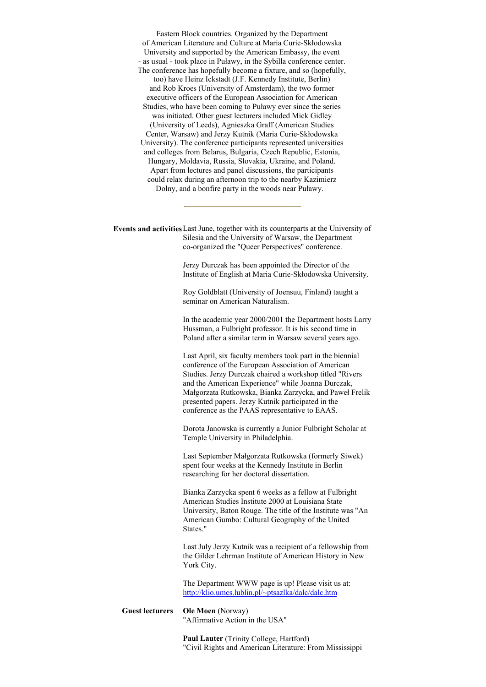Eastern Block countries. Organized by the Department of American Literature and Culture at Maria Curie-Skłodowska University and supported by the American Embassy, the event - as usual - took place in Puławy, in the Sybilla conference center. The conference has hopefully become a fixture, and so (hopefully, too) have Heinz Ickstadt (J.F. Kennedy Institute, Berlin) and Rob Kroes (University of Amsterdam), the two former executive officers of the European Association for American Studies, who have been coming to Puławy ever since the series was initiated. Other guest lecturers included Mick Gidley (University of Leeds), Agnieszka Graff (American Studies Center, Warsaw) and Jerzy Kutnik (Maria Curie-Skłodowska University). The conference participants represented universities and colleges from Belarus, Bulgaria, Czech Republic, Estonia, Hungary, Moldavia, Russia, Slovakia, Ukraine, and Poland. Apart from lectures and panel discussions, the participants could relax during an afternoon trip to the nearby Kazimierz Dolny, and a bonfire party in the woods near Puławy.

**Events and activities**Last June, together with its counterparts at the University of Silesia and the University of Warsaw, the Department co-organized the "Queer Perspectives" conference.

> Jerzy Durczak has been appointed the Director of the Institute of English at Maria Curie-Skłodowska University.

Roy Goldblatt (University of Joensuu, Finland) taught a seminar on American Naturalism.

In the academic year 2000/2001 the Department hosts Larry Hussman, a Fulbright professor. It is his second time in Poland after a similar term in Warsaw several years ago.

Last April, six faculty members took part in the biennial conference of the European Association of American Studies. Jerzy Durczak chaired a workshop titled "Rivers and the American Experience" while Joanna Durczak, Małgorzata Rutkowska, Bianka Zarzycka, and Paweł Frelik presented papers. Jerzy Kutnik participated in the conference as the PAAS representative to EAAS.

Dorota Janowska is currently a Junior Fulbright Scholar at Temple University in Philadelphia.

Last September Małgorzata Rutkowska (formerly Siwek) spent four weeks at the Kennedy Institute in Berlin researching for her doctoral dissertation.

Bianka Zarzycka spent 6 weeks as a fellow at Fulbright American Studies Institute 2000 at Louisiana State University, Baton Rouge. The title of the Institute was "An American Gumbo: Cultural Geography of the United States."

Last July Jerzy Kutnik was a recipient of a fellowship from the Gilder Lehrman Institute of American History in New York City.

The Department WWW page is up! Please visit us at: http://klio.umcs.lublin.pl/~ptsazlka/dalc/dalc.htm

#### **Guest lecturers Ole Moen** (Norway) "Affirmative Action in the USA"

**Paul Lauter** (Trinity College, Hartford) "Civil Rights and American Literature: From Mississippi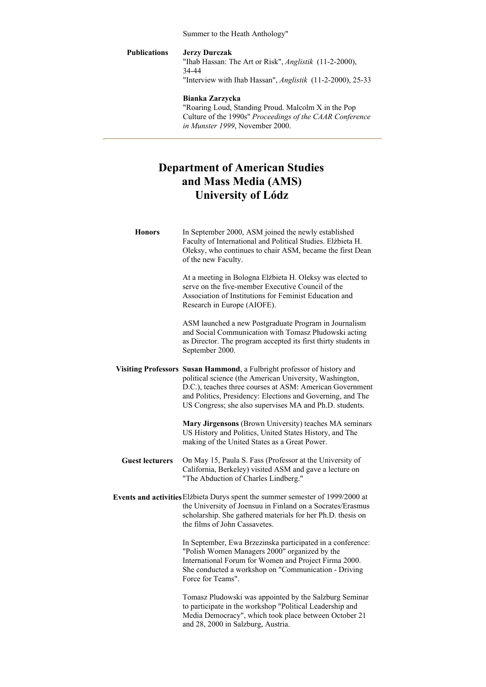Summer to the Heath Anthology"

### **Publications Jerzy Durczak** "Ihab Hassan: The Art or Risk", *Anglistik* (11-2-2000), 34-44 "Interview with Ihab Hassan", *Anglistik* (11-2-2000), 25-33

**Bianka Zarzycka** "Roaring Loud, Standing Proud. Malcolm X in the Pop Culture of the 1990s" *Proceedings of the CAAR Conference in Munster 1999*, November 2000.

# **Department of American Studies and Mass Media (AMS) University of Lódz**

| <b>Honors</b>          | In September 2000, ASM joined the newly established<br>Faculty of International and Political Studies. Elżbieta H.<br>Oleksy, who continues to chair ASM, became the first Dean<br>of the new Faculty.                                                                                                                  |
|------------------------|-------------------------------------------------------------------------------------------------------------------------------------------------------------------------------------------------------------------------------------------------------------------------------------------------------------------------|
|                        | At a meeting in Bologna Elżbieta H. Oleksy was elected to<br>serve on the five-member Executive Council of the<br>Association of Institutions for Feminist Education and<br>Research in Europe (AIOFE).                                                                                                                 |
|                        | ASM launched a new Postgraduate Program in Journalism<br>and Social Communication with Tomasz Płudowski acting<br>as Director. The program accepted its first thirty students in<br>September 2000.                                                                                                                     |
|                        | Visiting Professors Susan Hammond, a Fulbright professor of history and<br>political science (the American University, Washington,<br>D.C.), teaches three courses at ASM: American Government<br>and Politics, Presidency: Elections and Governing, and The<br>US Congress; she also supervises MA and Ph.D. students. |
|                        | Mary Jirgensons (Brown University) teaches MA seminars<br>US History and Politics, United States History, and The<br>making of the United States as a Great Power.                                                                                                                                                      |
| <b>Guest lecturers</b> | On May 15, Paula S. Fass (Professor at the University of<br>California, Berkeley) visited ASM and gave a lecture on<br>"The Abduction of Charles Lindberg."                                                                                                                                                             |
|                        | Events and activities Elzbieta Durys spent the summer semester of 1999/2000 at<br>the University of Joensuu in Finland on a Socrates/Erasmus<br>scholarship. She gathered materials for her Ph.D. thesis on<br>the films of John Cassavetes.                                                                            |
|                        | In September, Ewa Brzezinska participated in a conference:<br>"Polish Women Managers 2000" organized by the<br>International Forum for Women and Project Firma 2000.<br>She conducted a workshop on "Communication - Driving<br>Force for Teams".                                                                       |
|                        | Tomasz Pludowski was appointed by the Salzburg Seminar<br>to participate in the workshop "Political Leadership and<br>Media Democracy", which took place between October 21<br>and 28, 2000 in Salzburg, Austria.                                                                                                       |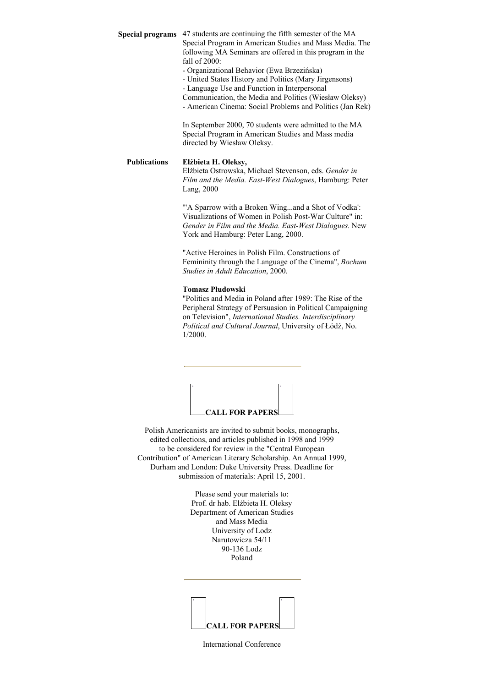**Special programs** 47 students are continuing the fifth semester of the MA Special Program in American Studies and Mass Media. The following MA Seminars are offered in this program in the fall of 2000:

- Organizational Behavior (Ewa Brzezińska)

- United States History and Politics (Mary Jirgensons)

- Language Use and Function in Interpersonal

Communication, the Media and Politics (Wiesław Oleksy)

- American Cinema: Social Problems and Politics (Jan Rek)

In September 2000, 70 students were admitted to the MA Special Program in American Studies and Mass media directed by Wiesław Oleksy.

#### **Publications Elżbieta H. Oleksy,**

Elżbieta Ostrowska, Michael Stevenson, eds. *Gender in Film and the Media. East-West Dialogues*, Hamburg: Peter Lang, 2000

'"A Sparrow with a Broken Wing...and a Shot of Vodka': Visualizations of Women in Polish Post-War Culture" in: *Gender in Film and the Media. East-West Dialogues*. New York and Hamburg: Peter Lang, 2000.

"Active Heroines in Polish Film. Constructions of Femininity through the Language of the Cinema", *Bochum Studies in Adult Education*, 2000.

#### **Tomasz Płudowski**

"Politics and Media in Poland after 1989: The Rise of the Peripheral Strategy of Persuasion in Political Campaigning on Television", *International Studies. Interdisciplinary Political and Cultural Journal*, University of Łódź, No. 1/2000.



Polish Americanists are invited to submit books, monographs, edited collections, and articles published in 1998 and 1999 to be considered for review in the "Central European Contribution" of American Literary Scholarship. An Annual 1999, Durham and London: Duke University Press. Deadline for submission of materials: April 15, 2001.

> Please send your materials to: Prof. dr hab. Elżbieta H. Oleksy Department of American Studies and Mass Media University of Lodz Narutowicza 54/11 90-136 Lodz Poland



International Conference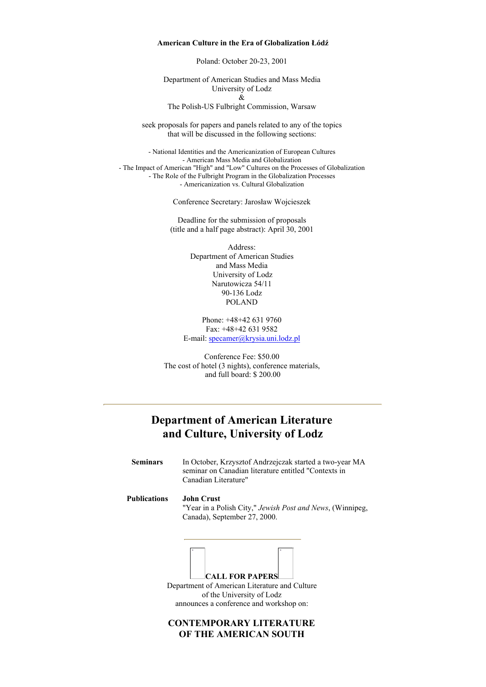#### **American Culture in the Era of Globalization Łódź**

Poland: October 20-23, 2001

Department of American Studies and Mass Media University of Lodz & The Polish-US Fulbright Commission, Warsaw

seek proposals for papers and panels related to any of the topics that will be discussed in the following sections:

- National Identities and the Americanization of European Cultures - American Mass Media and Globalization - The Impact of American "High" and "Low" Cultures on the Processes of Globalization - The Role of the Fulbright Program in the Globalization Processes - Americanization vs. Cultural Globalization

Conference Secretary: Jarosław Wojcieszek

Deadline for the submission of proposals (title and a half page abstract): April 30, 2001

> Address: Department of American Studies and Mass Media University of Lodz Narutowicza 54/11 90-136 Lodz POLAND

Phone: +48+42 631 9760 Fax: +48+42 631 9582 E-mail: specamer@krysia.uni.lodz.pl

Conference Fee: \$50.00 The cost of hotel (3 nights), conference materials, and full board: \$ 200.00

### **Department of American Literature and Culture, University of Lodz**

| <b>Seminars</b> | In October, Krzysztof Andrzejczak started a two-year MA<br>seminar on Canadian literature entitled "Contexts in<br>Canadian Literature" |
|-----------------|-----------------------------------------------------------------------------------------------------------------------------------------|
| Publications    | John Crust<br>"Year in a Polish City," Jewish Post and News, (Winnipeg,<br>Canada), September 27, 2000.                                 |
|                 | <b>CALL FOR PAPERS</b>                                                                                                                  |
|                 | Department of American Literature and Culture                                                                                           |
|                 | of the University of Lodz                                                                                                               |
|                 | announces a conference and workshop on:                                                                                                 |

### **CONTEMPORARY LITERATURE OF THE AMERICAN SOUTH**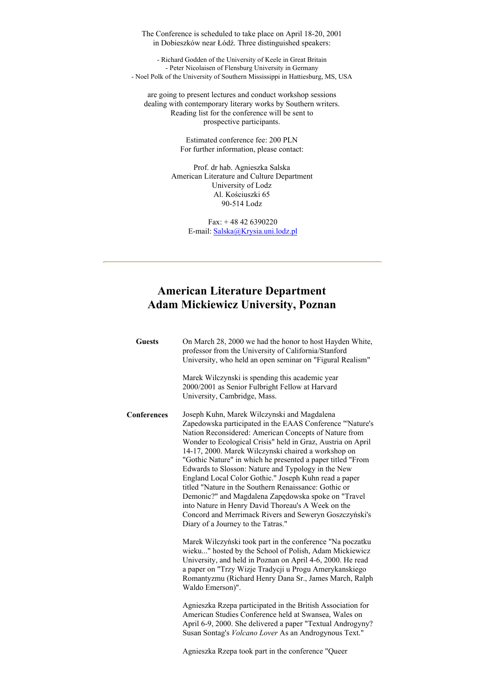The Conference is scheduled to take place on April 18-20, 2001 in Dobieszków near Łódź. Three distinguished speakers:

- Richard Godden of the University of Keele in Great Britain - Peter Nicolaisen of Flensburg University in Germany - Noel Polk of the University of Southern Mississippi in Hattiesburg, MS, USA

are going to present lectures and conduct workshop sessions dealing with contemporary literary works by Southern writers. Reading list for the conference will be sent to prospective participants.

> Estimated conference fee: 200 PLN For further information, please contact:

Prof. dr hab. Agnieszka Salska American Literature and Culture Department University of Lodz Al. Kościuszki 65 90-514 Lodz

> Fax: + 48 42 6390220 E-mail: Salska@Krysia.uni.lodz.pl

# **American Literature Department Adam Mickiewicz University, Poznan**

| <b>Guests</b>      | On March 28, 2000 we had the honor to host Hayden White,<br>professor from the University of California/Stanford<br>University, who held an open seminar on "Figural Realism"                                                                                                                                                                                                                                                                                                                                                                                                                                                                                                                                                              |
|--------------------|--------------------------------------------------------------------------------------------------------------------------------------------------------------------------------------------------------------------------------------------------------------------------------------------------------------------------------------------------------------------------------------------------------------------------------------------------------------------------------------------------------------------------------------------------------------------------------------------------------------------------------------------------------------------------------------------------------------------------------------------|
|                    | Marek Wilczynski is spending this academic year<br>2000/2001 as Senior Fulbright Fellow at Harvard<br>University, Cambridge, Mass.                                                                                                                                                                                                                                                                                                                                                                                                                                                                                                                                                                                                         |
| <b>Conferences</b> | Joseph Kuhn, Marek Wilczynski and Magdalena<br>Zapedowska participated in the EAAS Conference "'Nature's<br>Nation Reconsidered: American Concepts of Nature from<br>Wonder to Ecological Crisis" held in Graz, Austria on April<br>14-17, 2000. Marek Wilczynski chaired a workshop on<br>"Gothic Nature" in which he presented a paper titled "From<br>Edwards to Slosson: Nature and Typology in the New<br>England Local Color Gothic." Joseph Kuhn read a paper<br>titled "Nature in the Southern Renaissance: Gothic or<br>Demonic?" and Magdalena Zapędowska spoke on "Travel<br>into Nature in Henry David Thoreau's A Week on the<br>Concord and Merrimack Rivers and Seweryn Goszczyński's<br>Diary of a Journey to the Tatras." |
|                    | Marek Wilczyński took part in the conference "Na poczatku<br>wieku" hosted by the School of Polish, Adam Mickiewicz<br>University, and held in Poznan on April 4-6, 2000. He read<br>a paper on "Trzy Wizje Tradycji u Progu Amerykanskiego<br>Romantyzmu (Richard Henry Dana Sr., James March, Ralph<br>Waldo Emerson)".                                                                                                                                                                                                                                                                                                                                                                                                                  |
|                    | Agnieszka Rzepa participated in the British Association for<br>American Studies Conference held at Swansea, Wales on<br>April 6-9, 2000. She delivered a paper "Textual Androgyny?<br>Susan Sontag's Volcano Lover As an Androgynous Text."                                                                                                                                                                                                                                                                                                                                                                                                                                                                                                |

Agnieszka Rzepa took part in the conference "Queer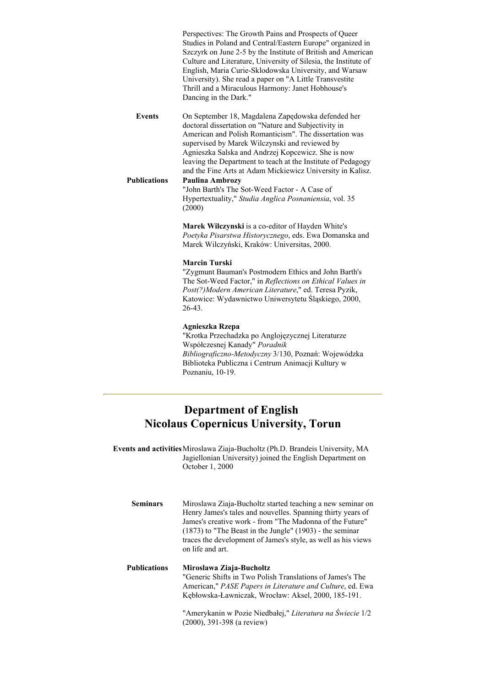Perspectives: The Growth Pains and Prospects of Queer Studies in Poland and Central/Eastern Europe" organized in Szczyrk on June 2-5 by the Institute of British and American Culture and Literature, University of Silesia, the Institute of English, Maria Curie-Sklodowska University, and Warsaw University). She read a paper on "A Little Transvestite Thrill and a Miraculous Harmony: Janet Hobhouse's Dancing in the Dark."

**Events** On September 18, Magdalena Zapędowska defended her doctoral dissertation on "Nature and Subjectivity in American and Polish Romanticism". The dissertation was supervised by Marek Wilczynski and reviewed by Agnieszka Salska and Andrzej Kopcewicz. She is now leaving the Department to teach at the Institute of Pedagogy and the Fine Arts at Adam Mickiewicz University in Kalisz. **Publications Paulina Ambrozy**

"John Barth's The Sot-Weed Factor - A Case of Hypertextuality," *Studia Anglica Posnaniensia*, vol. 35 (2000)

**Marek Wilczynski** is a co-editor of Hayden White's *Poetyka Pisarstwa Historycznego*, eds. Ewa Domanska and Marek Wilczyński, Kraków: Universitas, 2000.

#### **Marcin Turski**

"Zygmunt Bauman's Postmodern Ethics and John Barth's The Sot-Weed Factor," in *Reflections on Ethical Values in Post(?)Modern American Literature*," ed. Teresa Pyzik, Katowice: Wydawnictwo Uniwersytetu Śląskiego, 2000, 26-43.

#### **Agnieszka Rzepa**

"Krotka Przechadzka po Anglojęzycznej Literaturze Współczesnej Kanady" *Poradnik Bibliograficzno-Metodyczny* 3/130, Poznań: Wojewódzka Biblioteka Publiczna i Centrum Animacji Kultury w Poznaniu, 10-19.

### **Department of English Nicolaus Copernicus University, Torun**

**Events and activities**Miroslawa Ziaja-Bucholtz (Ph.D. Brandeis University, MA Jagiellonian University) joined the English Department on October 1, 2000

**Seminars** Miroslawa Ziaja-Bucholtz started teaching a new seminar on Henry James's tales and nouvelles. Spanning thirty years of James's creative work - from "The Madonna of the Future" (1873) to "The Beast in the Jungle" (1903) - the seminar traces the development of James's style, as well as his views on life and art.

### **Publications Miroslawa Ziaja-Bucholtz** "Generic Shifts in Two Polish Translations of James's The American," *PASE Papers in Literature and Culture*, ed. Ewa Kębłowska-Ławniczak, Wrocław: Aksel, 2000, 185-191.

"Amerykanin w Pozie Niedbałej," *Literatura na Świecie* 1/2 (2000), 391-398 (a review)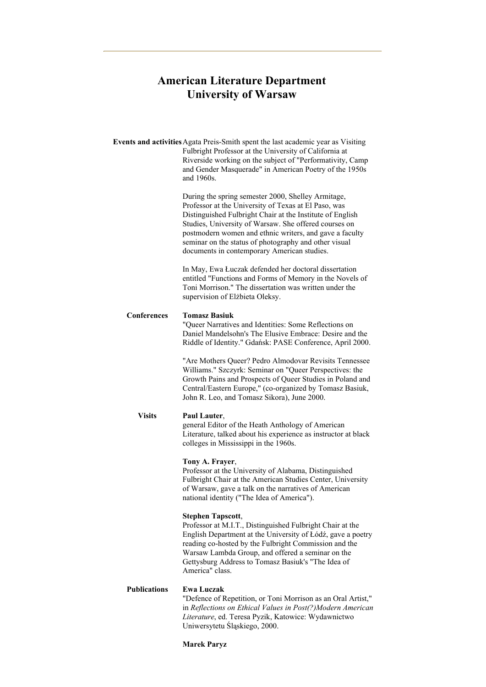# **American Literature Department University of Warsaw**

|                     | Events and activities Agata Preis-Smith spent the last academic year as Visiting<br>Fulbright Professor at the University of California at<br>Riverside working on the subject of "Performativity, Camp<br>and Gender Masquerade" in American Poetry of the 1950s<br>and 1960s.                                                                                                                     |
|---------------------|-----------------------------------------------------------------------------------------------------------------------------------------------------------------------------------------------------------------------------------------------------------------------------------------------------------------------------------------------------------------------------------------------------|
|                     | During the spring semester 2000, Shelley Armitage,<br>Professor at the University of Texas at El Paso, was<br>Distinguished Fulbright Chair at the Institute of English<br>Studies, University of Warsaw. She offered courses on<br>postmodern women and ethnic writers, and gave a faculty<br>seminar on the status of photography and other visual<br>documents in contemporary American studies. |
|                     | In May, Ewa Łuczak defended her doctoral dissertation<br>entitled "Functions and Forms of Memory in the Novels of<br>Toni Morrison." The dissertation was written under the<br>supervision of Elżbieta Oleksy.                                                                                                                                                                                      |
| <b>Conferences</b>  | <b>Tomasz Basiuk</b><br>"Queer Narratives and Identities: Some Reflections on<br>Daniel Mandelsohn's The Elusive Embrace: Desire and the<br>Riddle of Identity." Gdańsk: PASE Conference, April 2000.                                                                                                                                                                                               |
|                     | "Are Mothers Queer? Pedro Almodovar Revisits Tennessee<br>Williams." Szczyrk: Seminar on "Queer Perspectives: the<br>Growth Pains and Prospects of Queer Studies in Poland and<br>Central/Eastern Europe," (co-organized by Tomasz Basiuk,<br>John R. Leo, and Tomasz Sikora), June 2000.                                                                                                           |
| <b>Visits</b>       | Paul Lauter,<br>general Editor of the Heath Anthology of American<br>Literature, talked about his experience as instructor at black<br>colleges in Mississippi in the 1960s.                                                                                                                                                                                                                        |
|                     | Tony A. Frayer,<br>Professor at the University of Alabama, Distinguished<br>Fulbright Chair at the American Studies Center, University<br>of Warsaw, gave a talk on the narratives of American<br>national identity ("The Idea of America").                                                                                                                                                        |
|                     | <b>Stephen Tapscott,</b><br>Professor at M.I.T., Distinguished Fulbright Chair at the<br>English Department at the University of Łódź, gave a poetry<br>reading co-hosted by the Fulbright Commission and the<br>Warsaw Lambda Group, and offered a seminar on the<br>Gettysburg Address to Tomasz Basiuk's "The Idea of<br>America" class.                                                         |
| <b>Publications</b> | <b>Ewa Luczak</b><br>"Defence of Repetition, or Toni Morrison as an Oral Artist,"<br>in Reflections on Ethical Values in Post(?)Modern American<br>Literature, ed. Teresa Pyzik, Katowice: Wydawnictwo<br>Uniwersytetu Śląskiego, 2000.                                                                                                                                                             |

**Marek Paryz**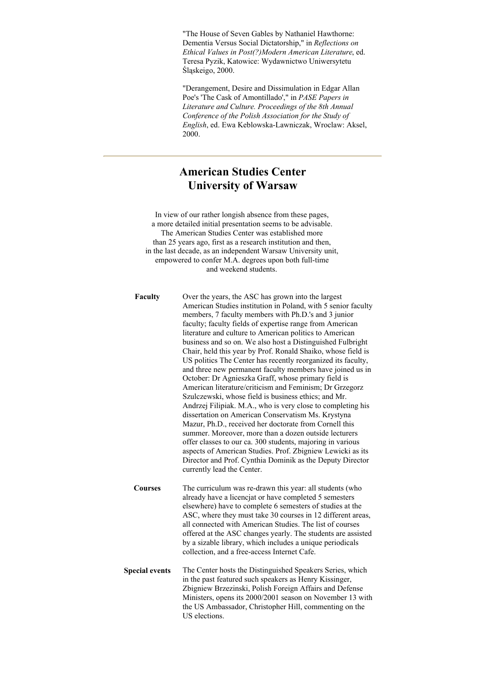"The House of Seven Gables by Nathaniel Hawthorne: Dementia Versus Social Dictatorship," in *Reflections on Ethical Values in Post(?)Modern American Literature*, ed. Teresa Pyzik, Katowice: Wydawnictwo Uniwersytetu Śląskeigo, 2000.

"Derangement, Desire and Dissimulation in Edgar Allan Poe's 'The Cask of Amontillado'," in *PASE Papers in Literature and Culture. Proceedings of the 8th Annual Conference of the Polish Association for the Study of English*, ed. Ewa Keblowska-Lawniczak, Wroclaw: Aksel, 2000.

### **American Studies Center University of Warsaw**

In view of our rather longish absence from these pages, a more detailed initial presentation seems to be advisable. The American Studies Center was established more than 25 years ago, first as a research institution and then, in the last decade, as an independent Warsaw University unit, empowered to confer M.A. degrees upon both full-time and weekend students.

**Faculty** Over the years, the ASC has grown into the largest American Studies institution in Poland, with 5 senior faculty members, 7 faculty members with Ph.D.'s and 3 junior faculty; faculty fields of expertise range from American literature and culture to American politics to American business and so on. We also host a Distinguished Fulbright Chair, held this year by Prof. Ronald Shaiko, whose field is US politics The Center has recently reorganized its faculty, and three new permanent faculty members have joined us in October: Dr Agnieszka Graff, whose primary field is American literature/criticism and Feminism; Dr Grzegorz Szulczewski, whose field is business ethics; and Mr. Andrzej Filipiak. M.A., who is very close to completing his dissertation on American Conservatism Ms. Krystyna Mazur, Ph.D., received her doctorate from Cornell this summer. Moreover, more than a dozen outside lecturers offer classes to our ca. 300 students, majoring in various aspects of American Studies. Prof. Zbigniew Lewicki as its Director and Prof. Cynthia Dominik as the Deputy Director currently lead the Center. **Courses** The curriculum was re-drawn this year: all students (who already have a licencjat or have completed 5 semesters elsewhere) have to complete 6 semesters of studies at the ASC, where they must take 30 courses in 12 different areas, all connected with American Studies. The list of courses offered at the ASC changes yearly. The students are assisted by a sizable library, which includes a unique periodicals collection, and a free-access Internet Cafe.

**Special events** The Center hosts the Distinguished Speakers Series, which in the past featured such speakers as Henry Kissinger, Zbigniew Brzezinski, Polish Foreign Affairs and Defense Ministers, opens its 2000/2001 season on November 13 with the US Ambassador, Christopher Hill, commenting on the US elections.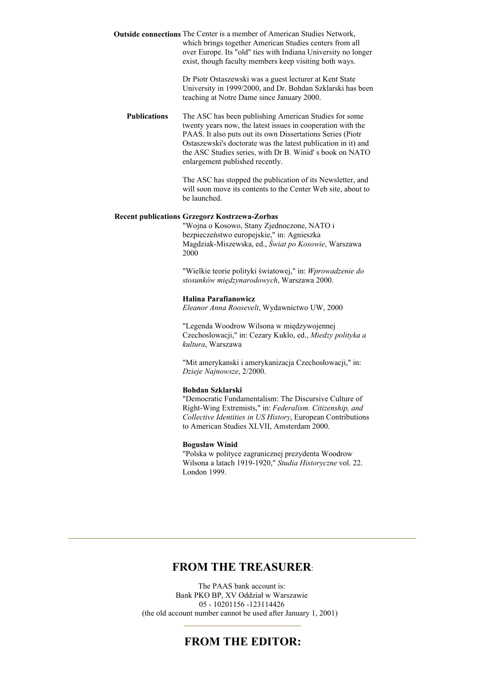**Outside connections** The Center is a member of American Studies Network, which brings together American Studies centers from all over Europe. Its "old" ties with Indiana University no longer exist, though faculty members keep visiting both ways.

> Dr Piotr Ostaszewski was a guest lecturer at Kent State University in 1999/2000, and Dr. Bohdan Szklarski has been teaching at Notre Dame since January 2000.

**Publications** The ASC has been publishing American Studies for some twenty years now, the latest issues in cooperation with the PAAS. It also puts out its own Dissertations Series (Piotr Ostaszewski's doctorate was the latest publication in it) and the ASC Studies series, with Dr B. Winid' s book on NATO enlargement published recently.

> The ASC has stopped the publication of its Newsletter, and will soon move its contents to the Center Web site, about to be launched.

#### **Recent publications Grzegorz Kostrzewa-Zorbas**

"Wojna o Kosowo, Stany Zjednoczone, NATO i bezpieczeństwo europejskie," in: Agnieszka Magdziak-Miszewska, ed., *Świat po Kosowie*, Warszawa 2000

"Wielkie teorie polityki światowej," in: *Wprowadzenie do stosunków międzynarodowych*, Warszawa 2000.

#### **Halina Parafianowicz**

*Eleanor Anna Roosevelt*, Wydawnictwo UW, 2000

"Legenda Woodrow Wilsona w międzywojennej Czechoslowacji," in: Cezary Kuklo, ed., *Miedzy polityka a kultura*, Warszawa

"Mit amerykanski i amerykanizacja Czechosłowacji," in: *Dzieje Najnowsze*, 2/2000.

### **Bohdan Szklarski**

"Democratic Fundamentalism: The Discursive Culture of Right-Wing Extremists," in: *Federalism. Citizenship, and Collective Identities in US History*, European Contributions to American Studies XLVII, Amsterdam 2000.

#### **Bogusław Winid**

"Polska w polityce zagranicznej prezydenta Woodrow Wilsona a latach 1919-1920," *Studia Historyczne* vol. 22. London 1999.

### **FROM THE TREASURER**:

The PAAS bank account is: Bank PKO BP, XV Oddział w Warszawie 05 - 10201156 -123114426 (the old account number cannot be used after January 1, 2001)

### **FROM THE EDITOR:**